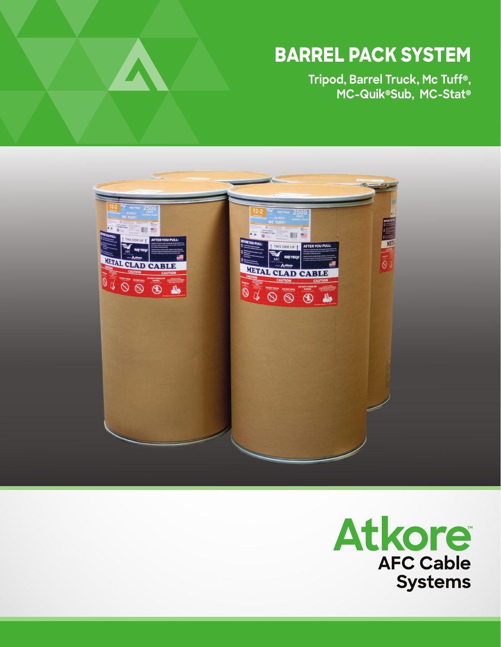## **BARREL PACK SYSTEM**

**Tripod, Barrel Truck, Mc Tuff® , MC-Quik®Sub, MC-Stat®**



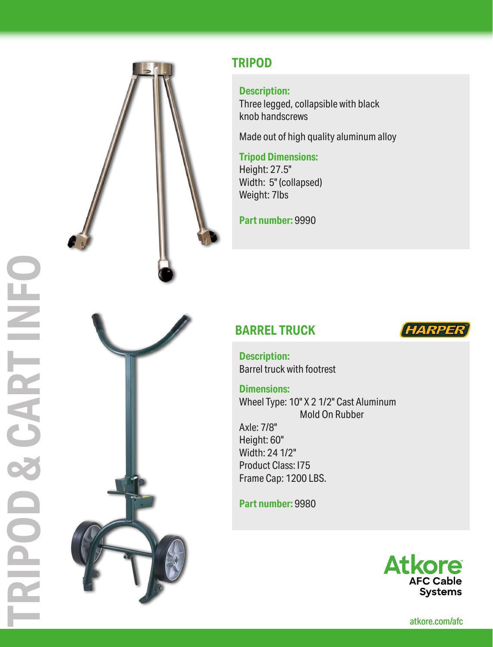

## **TRIPOD**

#### **Description:**

Three legged, collapsible with black knob handscrews

Made out of high quality aluminum alloy

#### **Tripod Dimensions:**

Height: 27.5" Width: 5" (collapsed) Weight: 7lbs

**Part number:** 9990

## **BARREL TRUCK**



**Description:** Barrel truck with footrest

**Dimensions:**

Wheel Type: 10" X 2 1/2" Cast Aluminum Mold On Rubber

Axle: 7/8" Height: 60" Width: 24 1/2" Product Class: I75 Frame Cap: 1200 LBS.

**Part number:** 9980



atkore.com/afc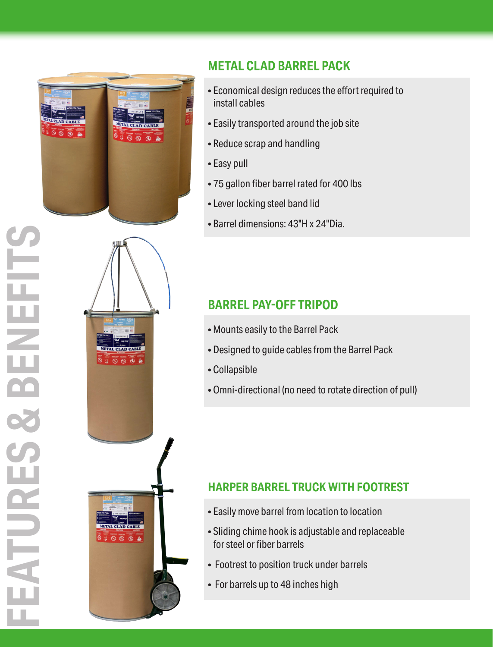

## **METAL CLAD BARREL PACK**

- Economical design reduces the effort required to install cables
- Easily transported around the job site
- Reduce scrap and handling
- Easy pull
- 75 gallon fiber barrel rated for 400 lbs
- Lever locking steel band lid
- Barrel dimensions: 43"H x 24"Dia.

## **BARREL PAY-OFF TRIPOD**

- Mounts easily to the Barrel Pack
- Designed to guide cables from the Barrel Pack
- Collapsible
- Omni-directional (no need to rotate direction of pull)

## **HARPER BARREL TRUCK WITH FOOTREST**

- Easily move barrel from location to location
- Sliding chime hook is adjustable and replaceable for steel or fiber barrels
- Footrest to position truck under barrels
- For barrels up to 48 inches high

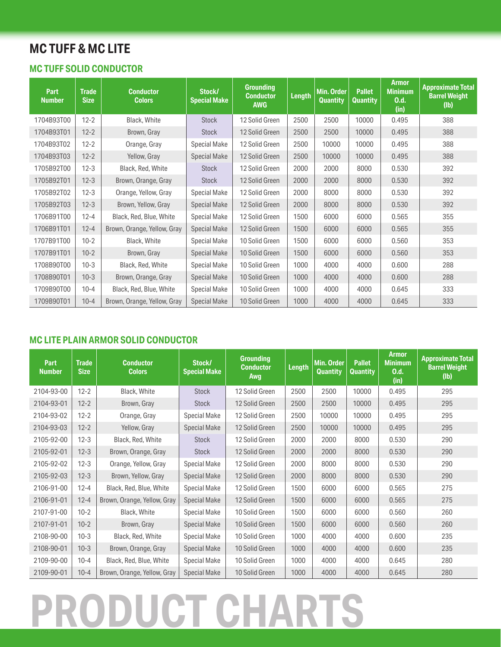## **MC TUFF & MC LITE**

#### **MC TUFF SOLID CONDUCTOR**

| Part<br><b>Number</b> | <b>Trade</b><br><b>Size</b> | <b>Conductor</b><br><b>Colors</b> | Stock/<br><b>Special Make</b> | <b>Grounding</b><br><b>Conductor</b><br><b>AWG</b> | Length | Min. Order<br><b>Quantity</b> | <b>Pallet</b><br><b>Quantity</b> | <b>Armor</b><br><b>Minimum</b><br>0.d.<br>(in) | <b>Approximate Total</b><br><b>Barrel Weight</b><br>(Ib) |
|-----------------------|-----------------------------|-----------------------------------|-------------------------------|----------------------------------------------------|--------|-------------------------------|----------------------------------|------------------------------------------------|----------------------------------------------------------|
| 1704B93T00            | $12 - 2$                    | Black, White                      | <b>Stock</b>                  | 12 Solid Green                                     | 2500   | 2500                          | 10000                            | 0.495                                          | 388                                                      |
| 1704B93T01            | $12 - 2$                    | Brown, Gray                       | <b>Stock</b>                  | 12 Solid Green                                     | 2500   | 2500                          | 10000                            | 0.495                                          | 388                                                      |
| 1704B93T02            | $12 - 2$                    | Orange, Gray                      | <b>Special Make</b>           | 12 Solid Green                                     | 2500   | 10000                         | 10000                            | 0.495                                          | 388                                                      |
| 1704B93T03            | $12 - 2$                    | Yellow, Gray                      | <b>Special Make</b>           | 12 Solid Green                                     | 2500   | 10000                         | 10000                            | 0.495                                          | 388                                                      |
| 1705B92T00            | $12 - 3$                    | Black, Red, White                 | <b>Stock</b>                  | 12 Solid Green                                     | 2000   | 2000                          | 8000                             | 0.530                                          | 392                                                      |
| 1705B92T01            | $12 - 3$                    | Brown, Orange, Gray               | <b>Stock</b>                  | 12 Solid Green                                     | 2000   | 2000                          | 8000                             | 0.530                                          | 392                                                      |
| 1705B92T02            | $12 - 3$                    | Orange, Yellow, Gray              | <b>Special Make</b>           | 12 Solid Green                                     | 2000   | 8000                          | 8000                             | 0.530                                          | 392                                                      |
| 1705B92T03            | $12 - 3$                    | Brown, Yellow, Gray               | <b>Special Make</b>           | 12 Solid Green                                     | 2000   | 8000                          | 8000                             | 0.530                                          | 392                                                      |
| 1706B91T00            | $12 - 4$                    | Black, Red, Blue, White           | <b>Special Make</b>           | 12 Solid Green                                     | 1500   | 6000                          | 6000                             | 0.565                                          | 355                                                      |
| 1706B91T01            | $12 - 4$                    | Brown, Orange, Yellow, Gray       | <b>Special Make</b>           | 12 Solid Green                                     | 1500   | 6000                          | 6000                             | 0.565                                          | 355                                                      |
| 1707B91T00            | $10-2$                      | Black, White                      | <b>Special Make</b>           | 10 Solid Green                                     | 1500   | 6000                          | 6000                             | 0.560                                          | 353                                                      |
| 1707B91T01            | $10-2$                      | Brown, Gray                       | <b>Special Make</b>           | 10 Solid Green                                     | 1500   | 6000                          | 6000                             | 0.560                                          | 353                                                      |
| 1708B90T00            | $10-3$                      | Black, Red, White                 | <b>Special Make</b>           | 10 Solid Green                                     | 1000   | 4000                          | 4000                             | 0.600                                          | 288                                                      |
| 1708B90T01            | $10-3$                      | Brown, Orange, Gray               | <b>Special Make</b>           | 10 Solid Green                                     | 1000   | 4000                          | 4000                             | 0.600                                          | 288                                                      |
| 1709B90T00            | $10 - 4$                    | Black, Red, Blue, White           | <b>Special Make</b>           | 10 Solid Green                                     | 1000   | 4000                          | 4000                             | 0.645                                          | 333                                                      |
| 1709B90T01            | $10 - 4$                    | Brown, Orange, Yellow, Gray       | <b>Special Make</b>           | 10 Solid Green                                     | 1000   | 4000                          | 4000                             | 0.645                                          | 333                                                      |

#### **MC LITE PLAIN ARMOR SOLID CONDUCTOR**

| <b>Part</b><br><b>Number</b> | <b>Trade</b><br><b>Size</b> | <b>Conductor</b><br><b>Colors</b> | <b>Stock/</b><br><b>Special Make</b> | <b>Grounding</b><br><b>Conductor</b><br>Awg | <b>Length</b> | Min. Order<br>Quantity | <b>Pallet</b><br><b>Quantity</b> | <b>Armor</b><br><b>Minimum</b><br>0.d.<br>(in) | <b>Approximate Total</b><br><b>Barrel Weight</b><br>$(\mathsf{lb})$ |
|------------------------------|-----------------------------|-----------------------------------|--------------------------------------|---------------------------------------------|---------------|------------------------|----------------------------------|------------------------------------------------|---------------------------------------------------------------------|
| 2104-93-00                   | $12 - 2$                    | Black, White                      | <b>Stock</b>                         | 12 Solid Green                              | 2500          | 2500                   | 10000                            | 0.495                                          | 295                                                                 |
| 2104-93-01                   | $12 - 2$                    | Brown, Gray                       | <b>Stock</b>                         | 12 Solid Green                              | 2500          | 2500                   | 10000                            | 0.495                                          | 295                                                                 |
| 2104-93-02                   | $12 - 2$                    | Orange, Gray                      | Special Make                         | 12 Solid Green                              | 2500          | 10000                  | 10000                            | 0.495                                          | 295                                                                 |
| 2104-93-03                   | $12 - 2$                    | Yellow, Gray                      | <b>Special Make</b>                  | 12 Solid Green                              | 2500          | 10000                  | 10000                            | 0.495                                          | 295                                                                 |
| 2105-92-00                   | $12 - 3$                    | Black, Red, White                 | <b>Stock</b>                         | 12 Solid Green                              | 2000          | 2000                   | 8000                             | 0.530                                          | 290                                                                 |
| 2105-92-01                   | $12 - 3$                    | Brown, Orange, Gray               | <b>Stock</b>                         | 12 Solid Green                              | 2000          | 2000                   | 8000                             | 0.530                                          | 290                                                                 |
| 2105-92-02                   | $12 - 3$                    | Orange, Yellow, Gray              | <b>Special Make</b>                  | 12 Solid Green                              | 2000          | 8000                   | 8000                             | 0.530                                          | 290                                                                 |
| 2105-92-03                   | $12 - 3$                    | Brown, Yellow, Gray               | <b>Special Make</b>                  | 12 Solid Green                              | 2000          | 8000                   | 8000                             | 0.530                                          | 290                                                                 |
| 2106-91-00                   | $12 - 4$                    | Black, Red, Blue, White           | Special Make                         | 12 Solid Green                              | 1500          | 6000                   | 6000                             | 0.565                                          | 275                                                                 |
| 2106-91-01                   | $12 - 4$                    | Brown, Orange, Yellow, Gray       | <b>Special Make</b>                  | 12 Solid Green                              | 1500          | 6000                   | 6000                             | 0.565                                          | 275                                                                 |
| 2107-91-00                   | $10-2$                      | Black, White                      | Special Make                         | 10 Solid Green                              | 1500          | 6000                   | 6000                             | 0.560                                          | 260                                                                 |
| 2107-91-01                   | $10-2$                      | Brown, Gray                       | <b>Special Make</b>                  | 10 Solid Green                              | 1500          | 6000                   | 6000                             | 0.560                                          | 260                                                                 |
| 2108-90-00                   | $10-3$                      | Black, Red, White                 | <b>Special Make</b>                  | 10 Solid Green                              | 1000          | 4000                   | 4000                             | 0.600                                          | 235                                                                 |
| 2108-90-01                   | $10-3$                      | Brown, Orange, Gray               | <b>Special Make</b>                  | 10 Solid Green                              | 1000          | 4000                   | 4000                             | 0.600                                          | 235                                                                 |
| 2109-90-00                   | $10 - 4$                    | Black, Red, Blue, White           | Special Make                         | 10 Solid Green                              | 1000          | 4000                   | 4000                             | 0.645                                          | 280                                                                 |
| 2109-90-01                   | $10 - 4$                    | Brown, Orange, Yellow, Gray       | <b>Special Make</b>                  | 10 Solid Green                              | 1000          | 4000                   | 4000                             | 0.645                                          | 280                                                                 |

# **PRODUCT CHARTS**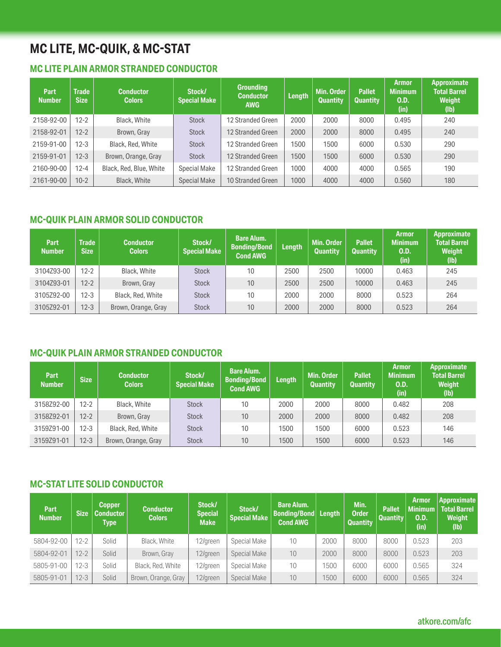## **MC LITE, MC-QUIK, & MC-STAT**

#### **MC LITE PLAIN ARMOR STRANDED CONDUCTOR**

| Part<br><b>Number</b> | <b>Trade</b><br><b>Size</b> | <b>Conductor</b><br><b>Colors</b> | Stock/<br><b>Special Make</b> | <b>Grounding</b><br><b>Conductor</b><br><b>AWG</b> | <b>Length</b> | Min. Order<br>Quantity | <b>Pallet</b><br><b>Quantity</b> | <b>Armor</b><br><b>Minimum</b><br>O.D.<br>(in) | <b>Approximate</b><br><b>Total Barrel</b><br><b>Weight</b><br>(Ib) |
|-----------------------|-----------------------------|-----------------------------------|-------------------------------|----------------------------------------------------|---------------|------------------------|----------------------------------|------------------------------------------------|--------------------------------------------------------------------|
| 2158-92-00            | $12 - 2$                    | Black, White                      | <b>Stock</b>                  | 12 Stranded Green                                  | 2000          | 2000                   | 8000                             | 0.495                                          | 240                                                                |
| 2158-92-01            | $12 - 2$                    | Brown, Gray                       | <b>Stock</b>                  | 12 Stranded Green                                  | 2000          | 2000                   | 8000                             | 0.495                                          | 240                                                                |
| 2159-91-00            | $12 - 3$                    | Black, Red, White                 | <b>Stock</b>                  | 12 Stranded Green                                  | 1500          | 1500                   | 6000                             | 0.530                                          | 290                                                                |
| 2159-91-01            | $12 - 3$                    | Brown, Orange, Gray               | <b>Stock</b>                  | 12 Stranded Green                                  | 1500          | 1500                   | 6000                             | 0.530                                          | 290                                                                |
| 2160-90-00            | $12 - 4$                    | Black, Red, Blue, White           | <b>Special Make</b>           | 12 Stranded Green                                  | 1000          | 4000                   | 4000                             | 0.565                                          | 190                                                                |
| 2161-90-00            | $10-2$                      | Black, White                      | <b>Special Make</b>           | 10 Stranded Green                                  | 1000          | 4000                   | 4000                             | 0.560                                          | 180                                                                |

#### **MC-QUIK PLAIN ARMOR SOLID CONDUCTOR**

| <b>Part</b><br><b>Number</b> | Trade  <br><b>Size</b> | <b>Conductor</b><br><b>Colors</b> | Stock/<br><b>Special Make</b> | <b>Bare Alum.</b><br><b>Bonding/Bond</b><br><b>Cond AWG</b> | Length | <b>Min. Order</b><br><b>Quantity</b> | <b>Pallet</b><br><b>Quantity</b> | Armor<br><b>Minimum</b><br>0.D.<br>(in) | Approximate<br><b>Total Barrel</b><br>Weight<br>(I <sub>b</sub> ) |
|------------------------------|------------------------|-----------------------------------|-------------------------------|-------------------------------------------------------------|--------|--------------------------------------|----------------------------------|-----------------------------------------|-------------------------------------------------------------------|
| 3104Z93-00                   | $12 - 2$               | Black, White                      | <b>Stock</b>                  | 10                                                          | 2500   | 2500                                 | 10000                            | 0.463                                   | 245                                                               |
| 3104Z93-01                   | $12 - 2$               | Brown, Gray                       | <b>Stock</b>                  | 10                                                          | 2500   | 2500                                 | 10000                            | 0.463                                   | 245                                                               |
| 3105Z92-00                   | $12 - 3$               | Black, Red, White                 | <b>Stock</b>                  | 10                                                          | 2000   | 2000                                 | 8000                             | 0.523                                   | 264                                                               |
| 3105Z92-01                   | $12 - 3$               | Brown, Orange, Gray               | <b>Stock</b>                  | 10                                                          | 2000   | 2000                                 | 8000                             | 0.523                                   | 264                                                               |

#### **MC-QUIK PLAIN ARMOR STRANDED CONDUCTOR**

| <b>Part</b><br><b>Number</b> | Size     | <b>Conductor</b><br><b>Colors</b> | Stock/<br><b>Special Make</b> | <b>Bare Alum.</b><br><b>Bonding/Bond</b><br><b>Cond AWG</b> | <b>Length</b> | Min. Order<br><b>Quantity</b> | <b>Pallet</b><br><b>Quantity</b> | <b>Armor</b><br><b>Minimum</b><br>0.D.<br>(in) | Approximate<br><b>Total Barrel</b><br><b>Weight</b><br>(I <sub>b</sub> ) |
|------------------------------|----------|-----------------------------------|-------------------------------|-------------------------------------------------------------|---------------|-------------------------------|----------------------------------|------------------------------------------------|--------------------------------------------------------------------------|
| 3158Z92-00                   | $12 - 2$ | Black, White                      | <b>Stock</b>                  | 10                                                          | 2000          | 2000                          | 8000                             | 0.482                                          | 208                                                                      |
| 3158Z92-01                   | $12 - 2$ | Brown, Gray                       | <b>Stock</b>                  | 10                                                          | 2000          | 2000                          | 8000                             | 0.482                                          | 208                                                                      |
| 3159Z91-00                   | $12 - 3$ | Black, Red, White                 | <b>Stock</b>                  | 10                                                          | 1500          | 1500                          | 6000                             | 0.523                                          | 146                                                                      |
| 3159Z91-01                   | $12 - 3$ | Brown, Orange, Gray               | <b>Stock</b>                  | 10                                                          | 1500          | 1500                          | 6000                             | 0.523                                          | 146                                                                      |

#### **MC-STAT LITE SOLID CONDUCTOR**

| <b>Part</b><br><b>Number</b> | <b>Size</b> | <b>Copper</b><br><b>Conductor</b><br>Type | <b>Conductor</b><br><b>Colors</b> | Stock/<br><b>Special</b><br><b>Make</b> | Stock/<br><b>Special Make</b> | <b>Bare Alum.</b><br>Bonding/Bond<br><b>Cond AWG</b> | Length | Min.<br><b>Order</b><br><b>Quantity</b> | <b>Pallet</b><br><b>Quantity</b> | <b>Armor</b><br><b>Minimum</b><br>0.D.<br>(in) | Approximate<br><b>Total Barrel</b><br>Weight<br>(Ib) |
|------------------------------|-------------|-------------------------------------------|-----------------------------------|-----------------------------------------|-------------------------------|------------------------------------------------------|--------|-----------------------------------------|----------------------------------|------------------------------------------------|------------------------------------------------------|
| 5804-92-00                   | $12 - 2$    | Solid                                     | Black, White                      | 12/green                                | Special Make                  | 10                                                   | 2000   | 8000                                    | 8000                             | 0.523                                          | 203                                                  |
| 5804-92-01                   | $12 - 2$    | Solid                                     | Brown, Gray                       | 12/green                                | Special Make                  | 10                                                   | 2000   | 8000                                    | 8000                             | 0.523                                          | 203                                                  |
| 5805-91-00                   | $12 - 3$    | Solid                                     | Black, Red, White                 | 12/green                                | Special Make                  | 10                                                   | 1500   | 6000                                    | 6000                             | 0.565                                          | 324                                                  |
| 5805-91-01                   | $12 - 3$    | Solid                                     | Brown, Orange, Gray               | 12/green                                | Special Make                  | 10                                                   | 1500   | 6000                                    | 6000                             | 0.565                                          | 324                                                  |